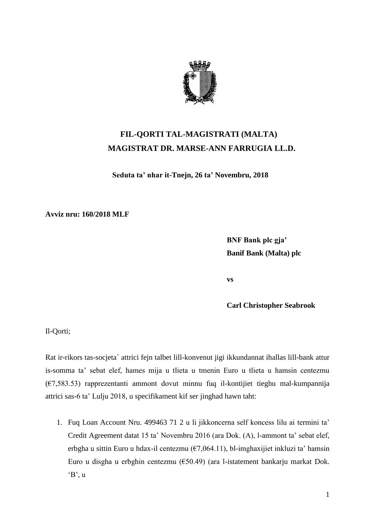

## **FIL-QORTI TAL-MAGISTRATI (MALTA) MAGISTRAT DR. MARSE-ANN FARRUGIA LL.D.**

**Seduta ta' nhar it-Tnejn, 26 ta' Novembru, 2018**

**Avviz nru: 160/2018 MLF**

**BNF Bank plc gja' Banif Bank (Malta) plc**

**vs**

**Carl Christopher Seabrook**

Il-Qorti;

Rat ir-rikors tas-socjeta` attrici fejn talbet lill-konvenut jigi ikkundannat ihallas lill-bank attur is-somma ta' sebat elef, hames mija u tlieta u tmenin Euro u tlieta u hamsin centezmu (€7,583.53) rapprezentanti ammont dovut minnu fuq il-kontijiet tieghu mal-kumpannija attrici sas-6 ta' Lulju 2018, u specifikament kif ser jinghad hawn taht:

1. Fuq Loan Account Nru. 499463 71 2 u li jikkoncerna self koncess lilu ai termini ta' Credit Agreement datat 15 ta' Novembru 2016 (ara Dok. (A), l-ammont ta' sebat elef, erbgha u sittin Euro u hdax-il centezmu ( $\epsilon$ 7,064.11), bl-imghaxijiet inkluzi ta' hamsin Euro u disgha u erbghin centezmu (€50.49) (ara l-istatement bankarju markat Dok. 'B', u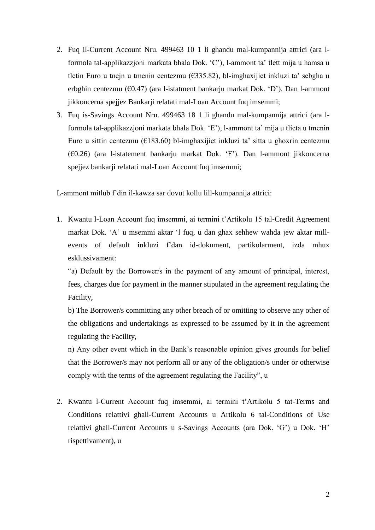- 2. Fuq il-Current Account Nru. 499463 10 1 li ghandu mal-kumpannija attrici (ara lformola tal-applikazzjoni markata bhala Dok. 'C'), l-ammont ta' tlett mija u hamsa u tletin Euro u tnejn u tmenin centezmu (€335.82), bl-imghaxijiet inkluzi ta' sebgha u erbghin centezmu (€0.47) (ara l-istatment bankarju markat Dok. 'D'). Dan l-ammont jikkoncerna spejjez Bankarji relatati mal-Loan Account fuq imsemmi;
- 3. Fuq is-Savings Account Nru. 499463 18 1 li ghandu mal-kumpannija attrici (ara lformola tal-applikazzjoni markata bhala Dok. 'E'), l-ammont ta' mija u tlieta u tmenin Euro u sittin centezmu ( $E183.60$ ) bl-imghaxijiet inkluzi ta' sitta u ghoxrin centezmu (€0.26) (ara l-istatement bankarju markat Dok. 'F'). Dan l-ammont jikkoncerna spejjez bankarji relatati mal-Loan Account fuq imsemmi;

L-ammont mitlub f'din il-kawza sar dovut kollu lill-kumpannija attrici:

1. Kwantu l-Loan Account fuq imsemmi, ai termini t'Artikolu 15 tal-Credit Agreement markat Dok. 'A' u msemmi aktar 'l fuq, u dan ghax sehhew wahda jew aktar millevents of default inkluzi f'dan id-dokument, partikolarment, izda mhux esklussivament:

"a) Default by the Borrower/s in the payment of any amount of principal, interest, fees, charges due for payment in the manner stipulated in the agreement regulating the Facility,

b) The Borrower/s committing any other breach of or omitting to observe any other of the obligations and undertakings as expressed to be assumed by it in the agreement regulating the Facility,

n) Any other event which in the Bank's reasonable opinion gives grounds for belief that the Borrower/s may not perform all or any of the obligation/s under or otherwise comply with the terms of the agreement regulating the Facility", u

2. Kwantu l-Current Account fuq imsemmi, ai termini t'Artikolu 5 tat-Terms and Conditions relattivi ghall-Current Accounts u Artikolu 6 tal-Conditions of Use relattivi ghall-Current Accounts u s-Savings Accounts (ara Dok. 'G') u Dok. 'H' rispettivament), u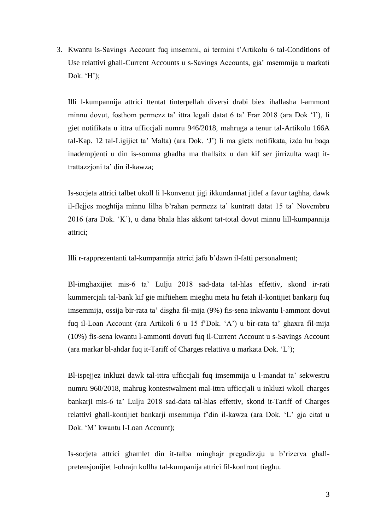3. Kwantu is-Savings Account fuq imsemmi, ai termini t'Artikolu 6 tal-Conditions of Use relattivi ghall-Current Accounts u s-Savings Accounts, gja' msemmija u markati Dok. 'H');

Illi l-kumpannija attrici ttentat tinterpellah diversi drabi biex ihallasha l-ammont minnu dovut, fosthom permezz ta' ittra legali datat 6 ta' Frar 2018 (ara Dok 'I'), li giet notifikata u ittra ufficcjali numru 946/2018, mahruga a tenur tal-Artikolu 166A tal-Kap. 12 tal-Ligijiet ta' Malta) (ara Dok. 'J') li ma gietx notifikata, izda hu baqa inadempjenti u din is-somma ghadha ma thallsitx u dan kif ser jirrizulta waqt ittrattazzjoni ta' din il-kawza;

Is-socjeta attrici talbet ukoll li l-konvenut jigi ikkundannat jitlef a favur taghha, dawk il-flejjes moghtija minnu lilha b'rahan permezz ta' kuntratt datat 15 ta' Novembru 2016 (ara Dok. 'K'), u dana bhala hlas akkont tat-total dovut minnu lill-kumpannija attrici;

Illi r-rapprezentanti tal-kumpannija attrici jafu b'dawn il-fatti personalment;

Bl-imghaxijiet mis-6 ta' Lulju 2018 sad-data tal-hlas effettiv, skond ir-rati kummercjali tal-bank kif gie miftiehem mieghu meta hu fetah il-kontijiet bankarji fuq imsemmija, ossija bir-rata ta' disgha fil-mija (9%) fis-sena inkwantu l-ammont dovut fuq il-Loan Account (ara Artikoli 6 u 15 f'Dok. 'A') u bir-rata ta' ghaxra fil-mija (10%) fis-sena kwantu l-ammonti dovuti fuq il-Current Account u s-Savings Account (ara markar bl-ahdar fuq it-Tariff of Charges relattiva u markata Dok. 'L');

Bl-ispejjez inkluzi dawk tal-ittra ufficcjali fuq imsemmija u l-mandat ta' sekwestru numru 960/2018, mahrug kontestwalment mal-ittra ufficcjali u inkluzi wkoll charges bankarji mis-6 ta' Lulju 2018 sad-data tal-hlas effettiv, skond it-Tariff of Charges relattivi ghall-kontijiet bankarji msemmija f'din il-kawza (ara Dok. 'L' gja citat u Dok. 'M' kwantu l-Loan Account);

Is-socjeta attrici ghamlet din it-talba minghajr pregudizzju u b'rizerva ghallpretensjonijiet l-ohrajn kollha tal-kumpanija attrici fil-konfront tieghu.